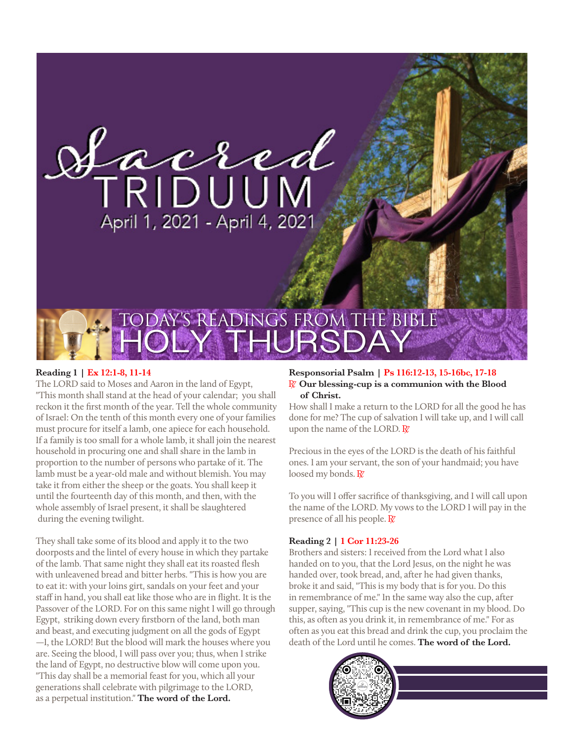

#### **Reading 1 | Ex 12:1-8, 11-14**

The LORD said to Moses and Aaron in the land of Egypt, "This month shall stand at the head of your calendar; you shall reckon it the first month of the year. Tell the whole community of Israel: On the tenth of this month every one of your families must procure for itself a lamb, one apiece for each household. If a family is too small for a whole lamb, it shall join the nearest household in procuring one and shall share in the lamb in proportion to the number of persons who partake of it. The lamb must be a year-old male and without blemish. You may take it from either the sheep or the goats. You shall keep it until the fourteenth day of this month, and then, with the whole assembly of Israel present, it shall be slaughtered during the evening twilight.

They shall take some of its blood and apply it to the two doorposts and the lintel of every house in which they partake of the lamb. That same night they shall eat its roasted flesh with unleavened bread and bitter herbs. "This is how you are to eat it: with your loins girt, sandals on your feet and your staff in hand, you shall eat like those who are in flight. It is the Passover of the LORD. For on this same night I will go through Egypt, striking down every firstborn of the land, both man and beast, and executing judgment on all the gods of Egypt —I, the LORD! But the blood will mark the houses where you are. Seeing the blood, I will pass over you; thus, when I strike the land of Egypt, no destructive blow will come upon you. "This day shall be a memorial feast for you, which all your generations shall celebrate with pilgrimage to the LORD, as a perpetual institution." **The word of the Lord.**

#### **Responsorial Psalm | Ps 116:12-13, 15-16bc, 17-18** R. **Our blessing-cup is a communion with the Blood of Christ.**

How shall I make a return to the LORD for all the good he has done for me? The cup of salvation I will take up, and I will call upon the name of the LORD.  $\mathbb{R}^2$ .

Precious in the eyes of the LORD is the death of his faithful ones. I am your servant, the son of your handmaid; you have loosed my bonds. R.

To you will I offer sacrifice of thanksgiving, and I will call upon the name of the LORD. My vows to the LORD I will pay in the presence of all his people. R.

#### **Reading 2 | 1 Cor 11:23-26**

Brothers and sisters: I received from the Lord what I also handed on to you, that the Lord Jesus, on the night he was handed over, took bread, and, after he had given thanks, broke it and said, "This is my body that is for you. Do this in remembrance of me." In the same way also the cup, after supper, saying, "This cup is the new covenant in my blood. Do this, as often as you drink it, in remembrance of me." For as often as you eat this bread and drink the cup, you proclaim the death of the Lord until he comes. **The word of the Lord.**

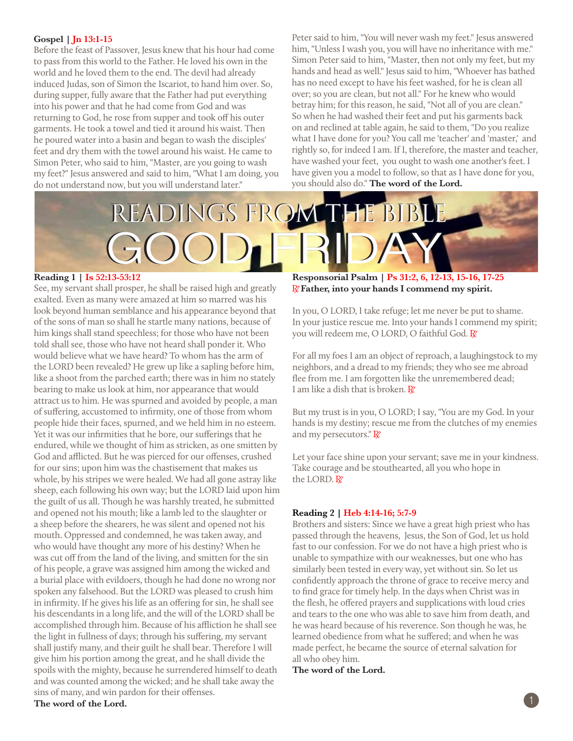#### **Gospel | Jn 13:1-15**

Before the feast of Passover, Jesus knew that his hour had come to pass from this world to the Father. He loved his own in the world and he loved them to the end. The devil had already induced Judas, son of Simon the Iscariot, to hand him over. So, during supper, fully aware that the Father had put everything into his power and that he had come from God and was returning to God, he rose from supper and took off his outer garments. He took a towel and tied it around his waist. Then he poured water into a basin and began to wash the disciples' feet and dry them with the towel around his waist. He came to Simon Peter, who said to him, "Master, are you going to wash my feet?" Jesus answered and said to him, "What I am doing, you do not understand now, but you will understand later."

Peter said to him, "You will never wash my feet." Jesus answered him, "Unless I wash you, you will have no inheritance with me." Simon Peter said to him, "Master, then not only my feet, but my hands and head as well." Jesus said to him, "Whoever has bathed has no need except to have his feet washed, for he is clean all over; so you are clean, but not all." For he knew who would betray him; for this reason, he said, "Not all of you are clean." So when he had washed their feet and put his garments back on and reclined at table again, he said to them, "Do you realize what I have done for you? You call me 'teacher' and 'master,' and rightly so, for indeed I am. If I, therefore, the master and teacher, have washed your feet, you ought to wash one another's feet. I have given you a model to follow, so that as I have done for you, you should also do." **The word of the Lord.**



#### **Reading 1 | Is 52:13-53:12**

See, my servant shall prosper, he shall be raised high and greatly exalted. Even as many were amazed at him so marred was his look beyond human semblance and his appearance beyond that of the sons of man so shall he startle many nations, because of him kings shall stand speechless; for those who have not been told shall see, those who have not heard shall ponder it. Who would believe what we have heard? To whom has the arm of the LORD been revealed? He grew up like a sapling before him, like a shoot from the parched earth; there was in him no stately bearing to make us look at him, nor appearance that would attract us to him. He was spurned and avoided by people, a man of suffering, accustomed to infirmity, one of those from whom people hide their faces, spurned, and we held him in no esteem. Yet it was our infirmities that he bore, our sufferings that he endured, while we thought of him as stricken, as one smitten by God and afflicted. But he was pierced for our offenses, crushed for our sins; upon him was the chastisement that makes us whole, by his stripes we were healed. We had all gone astray like sheep, each following his own way; but the LORD laid upon him the guilt of us all. Though he was harshly treated, he submitted and opened not his mouth; like a lamb led to the slaughter or a sheep before the shearers, he was silent and opened not his mouth. Oppressed and condemned, he was taken away, and who would have thought any more of his destiny? When he was cut off from the land of the living, and smitten for the sin of his people, a grave was assigned him among the wicked and a burial place with evildoers, though he had done no wrong nor spoken any falsehood. But the LORD was pleased to crush him in infirmity. If he gives his life as an offering for sin, he shall see his descendants in a long life, and the will of the LORD shall be accomplished through him. Because of his affliction he shall see the light in fullness of days; through his suffering, my servant shall justify many, and their guilt he shall bear. Therefore I will give him his portion among the great, and he shall divide the spoils with the mighty, because he surrendered himself to death and was counted among the wicked; and he shall take away the sins of many, and win pardon for their offenses.

**Responsorial Psalm | Ps 31:2, 6, 12-13, 15-16, 17-25** R. **Father, into your hands I commend my spirit.**

In you, O LORD, I take refuge; let me never be put to shame. In your justice rescue me. Into your hands I commend my spirit; you will redeem me, O LORD, O faithful God. R.

For all my foes I am an object of reproach, a laughingstock to my neighbors, and a dread to my friends; they who see me abroad flee from me. I am forgotten like the unremembered dead; I am like a dish that is broken.  $\mathbb{R}^7$ 

But my trust is in you, O LORD; I say, "You are my God. In your hands is my destiny; rescue me from the clutches of my enemies and my persecutors."  $\mathbb{R}^7$ 

Let your face shine upon your servant; save me in your kindness. Take courage and be stouthearted, all you who hope in the LORD. R.

#### **Reading 2 | Heb 4:14-16; 5:7-9**

Brothers and sisters: Since we have a great high priest who has passed through the heavens, Jesus, the Son of God, let us hold fast to our confession. For we do not have a high priest who is unable to sympathize with our weaknesses, but one who has similarly been tested in every way, yet without sin. So let us confidently approach the throne of grace to receive mercy and to find grace for timely help. In the days when Christ was in the flesh, he offered prayers and supplications with loud cries and tears to the one who was able to save him from death, and he was heard because of his reverence. Son though he was, he learned obedience from what he suffered; and when he was made perfect, he became the source of eternal salvation for all who obey him.

**The word of the Lord.**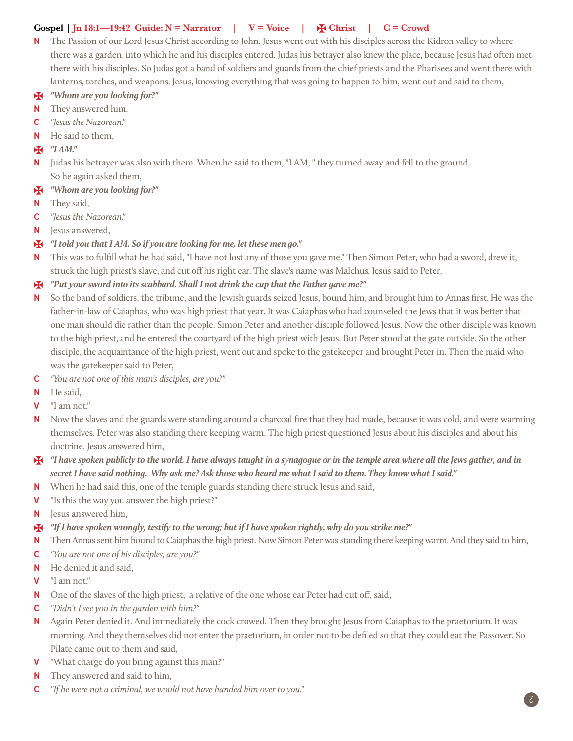#### **Gospel | Jn 18:1—19:42 Guide: N = Narrator | V = Voice |** + **Christ | C = Crowd**

- **N** The Passion of our Lord Jesus Christ according to John. Jesus went out with his disciples across the Kidron valley to where there was a garden, into which he and his disciples entered. Judas his betrayer also knew the place, because Jesus had often met there with his disciples. So Judas got a band of soldiers and guards from the chief priests and the Pharisees and went there with lanterns, torches, and weapons. Jesus, knowing everything that was going to happen to him, went out and said to them,
- + *"Whom are you looking for?"*
- **N** They answered him,
- **C** *"Jesus the Nazorean."*
- **N** He said to them,
- + *"I AM."*
- **N** Judas his betrayer was also with them. When he said to them, "I AM, " they turned away and fell to the ground. So he again asked them,
- + *"Whom are you looking for?"*
- **N** They said,
- **C** *"Jesus the Nazorean."*
- **N** Jesus answered,
- + *"I told you that I AM. So if you are looking for me, let these men go."*
- **N** This was to fulfill what he had said, "I have not lost any of those you gave me." Then Simon Peter, who had a sword, drew it, struck the high priest's slave, and cut off his right ear. The slave's name was Malchus. Jesus said to Peter,
- + *"Put your sword into its scabbard. Shall I not drink the cup that the Father gave me?"*
- **N** So the band of soldiers, the tribune, and the Jewish guards seized Jesus, bound him, and brought him to Annas first. He was the father-in-law of Caiaphas, who was high priest that year. It was Caiaphas who had counseled the Jews that it was better that one man should die rather than the people. Simon Peter and another disciple followed Jesus. Now the other disciple was known to the high priest, and he entered the courtyard of the high priest with Jesus. But Peter stood at the gate outside. So the other disciple, the acquaintance of the high priest, went out and spoke to the gatekeeper and brought Peter in. Then the maid who was the gatekeeper said to Peter,
- **C** *"You are not one of this man's disciples, are you?"*
- **N** He said,
- **V** "I am not."
- **N** Now the slaves and the guards were standing around a charcoal fire that they had made, because it was cold, and were warming themselves. Peter was also standing there keeping warm. The high priest questioned Jesus about his disciples and about his doctrine. Jesus answered him,
- $\cdot$  <sup>*II</sup> have spoken publicly to the world. I have always taught in a synagogue or in the temple area where all the Jews gather, and in*</sup> *secret I have said nothing. Why ask me? Ask those who heard me what I said to them. They know what I said."*
- **N** When he had said this, one of the temple guards standing there struck Jesus and said,
- **V** "Is this the way you answer the high priest?"
- **N** Jesus answered him,
- + *"If I have spoken wrongly, testify to the wrong; but if I have spoken rightly, why do you strike me?"*
- **N** Then Annas sent him bound to Caiaphas the high priest. Now Simon Peter was standing there keeping warm. And they said to him,
- **C** *"You are not one of his disciples, are you?"*
- **N** He denied it and said,
- **V** "I am not."
- **N** One of the slaves of the high priest, a relative of the one whose ear Peter had cut off, said,
- **C** *"Didn't I see you in the garden with him?"*
- **N** Again Peter denied it. And immediately the cock crowed. Then they brought Jesus from Caiaphas to the praetorium. It was morning. And they themselves did not enter the praetorium, in order not to be defiled so that they could eat the Passover. So Pilate came out to them and said,
- **V** "What charge do you bring against this man?"
- **N** They answered and said to him,
- **C** *"If he were not a criminal, we would not have handed him over to you."*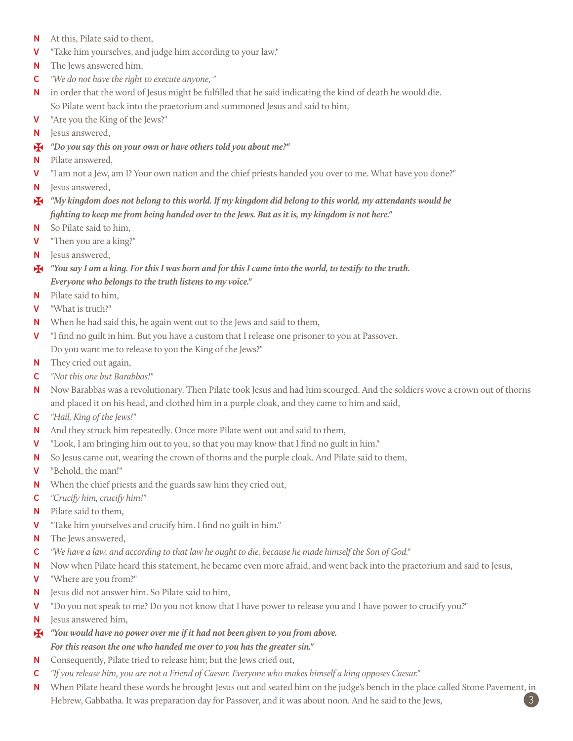- 
- **N** At this, Pilate said to them,<br>**V** "Take him yourselves, and ju **V** "Take him yourselves, and judge him according to your law."
	- **N** The Jews answered him,
	- **C** *"We do not have the right to execute anyone, "*
	- **N** in order that the word of Jesus might be fulfilled that he said indicating the kind of death he would die. So Pilate went back into the praetorium and summoned Jesus and said to him,
	- **V** "Are you the King of the Jews?"
	- **N** Jesus answered,
	- + *"Do you say this on your own or have others told you about me?"*
	- **N** Pilate answered,
	- **V** "I am not a Jew, am I? Your own nation and the chief priests handed you over to me. What have you done?"
	- **N** Jesus answered,
	- + *"My kingdom does not belong to this world. If my kingdom did belong to this world, my attendants would be fighting to keep me from being handed over to the Jews. But as it is, my kingdom is not here."*
	- **N** So Pilate said to him,
	- **V** "Then you are a king?"
	- **N** Jesus answered,
	- + *"You say I am a king. For this I was born and for this I came into the world, to testify to the truth. Everyone who belongs to the truth listens to my voice."*
	- **N** Pilate said to him,
	- **V** "What is truth?"
	- **N** When he had said this, he again went out to the Jews and said to them,
	- **V** "I find no guilt in him. But you have a custom that I release one prisoner to you at Passover. Do you want me to release to you the King of the Jews?"
	- **N** They cried out again,
	- **C** *"Not this one but Barabbas!"*
	- **N** Now Barabbas was a revolutionary. Then Pilate took Jesus and had him scourged. And the soldiers wove a crown out of thorns and placed it on his head, and clothed him in a purple cloak, and they came to him and said,
	- **C** *"Hail, King of the Jews!"*
	- **N** And they struck him repeatedly. Once more Pilate went out and said to them,
	- **V** "Look, I am bringing him out to you, so that you may know that I find no guilt in him."
	- **N** So Jesus came out, wearing the crown of thorns and the purple cloak. And Pilate said to them,
	- **V** "Behold, the man!"
	- **N** When the chief priests and the guards saw him they cried out,
	- **C** *"Crucify him, crucify him!"*
	- **N** Pilate said to them,
	- **V** "Take him yourselves and crucify him. I find no guilt in him."
	- **N** The Jews answered,
	- **C** *"We have a law, and according to that law he ought to die, because he made himself the Son of God."*
	- **N** Now when Pilate heard this statement, he became even more afraid, and went back into the praetorium and said to Jesus,
	- **V** "Where are you from?"
	- **N** Jesus did not answer him. So Pilate said to him,
	- **V** "Do you not speak to me? Do you not know that I have power to release you and I have power to crucify you?"
	- **N** Jesus answered him,
	- + *"You would have no power over me if it had not been given to you from above. For this reason the one who handed me over to you has the greater sin."*
	- **N** Consequently, Pilate tried to release him; but the Jews cried out,
	- **C** *"If you release him, you are not a Friend of Caesar. Everyone who makes himself a king opposes Caesar."*
	- **N** When Pilate heard these words he brought Jesus out and seated him on the judge's bench in the place called Stone Pavement, in Hebrew, Gabbatha. It was preparation day for Passover, and it was about noon. And he said to the Jews,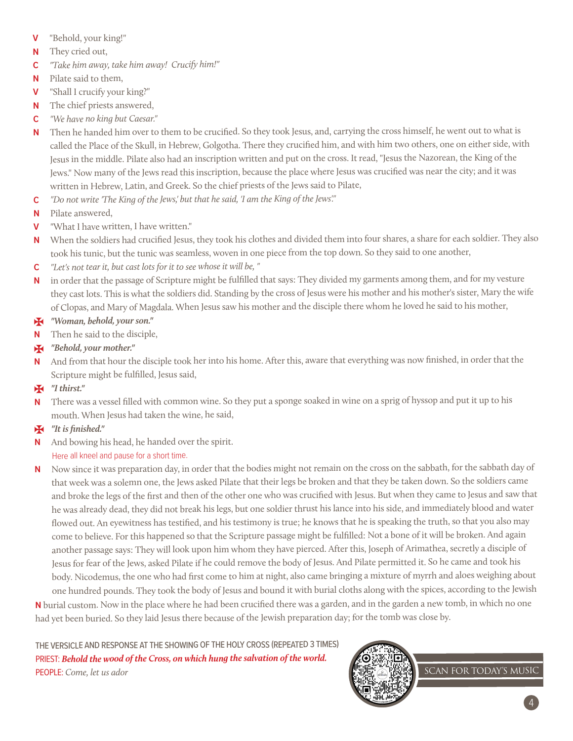- **V**"Behold, your king!"
- **N**They cried out,
- **<sup>C</sup>** *"Take him away, take him away! Crucify him!"*
- **N**Pilate said to them,
- **V**"Shall I crucify your king?"
- **N**The chief priests answered,
- **C** *"We have no king but Caesar."*
- **N** Then he handed him over to them to be crucified. So they took Jesus, and, carrying the cross himself, he went out to what is called the Place of the Skull, in Hebrew, Golgotha. There they crucified him, and with him two others, one on either side, with Jesus in the middle. Pilate also had an inscription written and put on the cross. It read, "Jesus the Nazorean, the King of the Jews." Now many of the Jews read this inscription, because the place where Jesus was crucified was near the city; and it was written in Hebrew, Latin, and Greek. So the chief priests of the Jews said to Pilate,
- **<sup>C</sup>** *"Do not write 'The King of the Jews,' but that he said, 'I am the King of the Jews'."*
- **N**Pilate answered,
- **V**"What I have written, I have written."
- **N** When the soldiers had crucified Jesus, they took his clothes and divided them into four shares, a share for each soldier. They also took his tunic, but the tunic was seamless, woven in one piece from the top down. So they said to one another,
- **<sup>C</sup>** *"Let's not tear it, but cast lots for it to see whose it will be, "*
- **N** in order that the passage of Scripture might be fulfilled that says: They divided my garments among them, and for my vesture they cast lots. This is what the soldiers did. Standing by the cross of Jesus were his mother and his mother's sister, Mary the wife of Clopas, and Mary of Magdala. When Jesus saw his mother and the disciple there whom he loved he said to his mother,
- + *"Woman, behold, your son."*
- **N**Then he said to the disciple,
- + *"Behold, your mother."*
- **N** And from that hour the disciple took her into his home. After this, aware that everything was now finished, in order that the Scripture might be fulfilled, Jesus said,
- + *"I thirst."*
- **N** There was a vessel filled with common wine. So they put a sponge soaked in wine on a sprig of hyssop and put it up to his mouth. When Jesus had taken the wine, he said,
- + *"It is finished."*
- **N** And bowing his head, he handed over the spirit. Here all kneel and pause for a short time.
- **N** Now since it was preparation day, in order that the bodies might not remain on the cross on the sabbath, for the sabbath day of that week was a solemn one, the Jews asked Pilate that their legs be broken and that they be taken down. So the soldiers came and broke the legs of the first and then of the other one who was crucified with Jesus. But when they came to Jesus and saw that he was already dead, they did not break his legs, but one soldier thrust his lance into his side, and immediately blood and water flowed out. An eyewitness has testified, and his testimony is true; he knows that he is speaking the truth, so that you also may come to believe. For this happened so that the Scripture passage might be fulfilled: Not a bone of it will be broken. And again another passage says: They will look upon him whom they have pierced. After this, Joseph of Arimathea, secretly a disciple of Jesus for fear of the Jews, asked Pilate if he could remove the body of Jesus. And Pilate permitted it. So he came and took his body. Nicodemus, the one who had first come to him at night, also came bringing a mixture of myrrh and aloes weighing about one hundred pounds. They took the body of Jesus and bound it with burial cloths along with the spices, according to the Jewish **<sup>N</sup>**burial custom. Now in the place where he had been crucified there was a garden, and in the garden a new tomb, in which no one

had yet been buried. So they laid Jesus there because of the Jewish preparation day; for the tomb was close by.

THE VERSICLE AND RESPONSE AT THE SHOWING OF THE HOLY CROSS (REPEATED 3 TIMES) PRIEST: *Behold the wood of the Cross, on which hung the salvation of the world.* PEOPLE: *Come, let us ador* **Scan For the Come of the Come of the Come of the Come of the Come of the Scan For Today's MUSIC** 

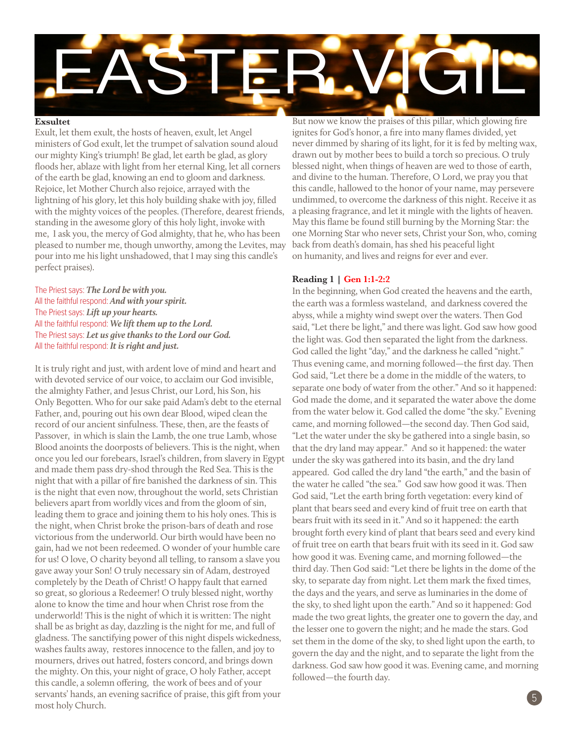

#### **Exsultet**

Exult, let them exult, the hosts of heaven, exult, let Angel ministers of God exult, let the trumpet of salvation sound aloud our mighty King's triumph! Be glad, let earth be glad, as glory floods her, ablaze with light from her eternal King, let all corners of the earth be glad, knowing an end to gloom and darkness. Rejoice, let Mother Church also rejoice, arrayed with the lightning of his glory, let this holy building shake with joy, filled with the mighty voices of the peoples. (Therefore, dearest friends, standing in the awesome glory of this holy light, invoke with me, I ask you, the mercy of God almighty, that he, who has been pleased to number me, though unworthy, among the Levites, may pour into me his light unshadowed, that I may sing this candle's perfect praises).

The Priest says: *The Lord be with you.* All the faithful respond: *And with your spirit.* The Priest says: *Lift up your hearts.*  All the faithful respond: *We lift them up to the Lord.* The Priest says: *Let us give thanks to the Lord our God.* All the faithful respond: *It is right and just.*

It is truly right and just, with ardent love of mind and heart and with devoted service of our voice, to acclaim our God invisible, the almighty Father, and Jesus Christ, our Lord, his Son, his Only Begotten. Who for our sake paid Adam's debt to the eternal Father, and, pouring out his own dear Blood, wiped clean the record of our ancient sinfulness. These, then, are the feasts of Passover, in which is slain the Lamb, the one true Lamb, whose Blood anoints the doorposts of believers. This is the night, when once you led our forebears, Israel's children, from slavery in Egypt and made them pass dry-shod through the Red Sea. This is the night that with a pillar of fire banished the darkness of sin. This is the night that even now, throughout the world, sets Christian believers apart from worldly vices and from the gloom of sin, leading them to grace and joining them to his holy ones. This is the night, when Christ broke the prison-bars of death and rose victorious from the underworld. Our birth would have been no gain, had we not been redeemed. O wonder of your humble care for us! O love, O charity beyond all telling, to ransom a slave you gave away your Son! O truly necessary sin of Adam, destroyed completely by the Death of Christ! O happy fault that earned so great, so glorious a Redeemer! O truly blessed night, worthy alone to know the time and hour when Christ rose from the underworld! This is the night of which it is written: The night shall be as bright as day, dazzling is the night for me, and full of gladness. The sanctifying power of this night dispels wickedness, washes faults away, restores innocence to the fallen, and joy to mourners, drives out hatred, fosters concord, and brings down the mighty. On this, your night of grace, O holy Father, accept this candle, a solemn offering, the work of bees and of your servants' hands, an evening sacrifice of praise, this gift from your most holy Church.

But now we know the praises of this pillar, which glowing fire ignites for God's honor, a fire into many flames divided, yet never dimmed by sharing of its light, for it is fed by melting wax, drawn out by mother bees to build a torch so precious. O truly blessed night, when things of heaven are wed to those of earth, and divine to the human. Therefore, O Lord, we pray you that this candle, hallowed to the honor of your name, may persevere undimmed, to overcome the darkness of this night. Receive it as a pleasing fragrance, and let it mingle with the lights of heaven. May this flame be found still burning by the Morning Star: the one Morning Star who never sets, Christ your Son, who, coming back from death's domain, has shed his peaceful light on humanity, and lives and reigns for ever and ever.

#### **Reading 1 | Gen 1:1-2:2**

In the beginning, when God created the heavens and the earth, the earth was a formless wasteland, and darkness covered the abyss, while a mighty wind swept over the waters. Then God said, "Let there be light," and there was light. God saw how good the light was. God then separated the light from the darkness. God called the light "day," and the darkness he called "night." Thus evening came, and morning followed—the first day. Then God said, "Let there be a dome in the middle of the waters, to separate one body of water from the other." And so it happened: God made the dome, and it separated the water above the dome from the water below it. God called the dome "the sky." Evening came, and morning followed—the second day. Then God said, "Let the water under the sky be gathered into a single basin, so that the dry land may appear." And so it happened: the water under the sky was gathered into its basin, and the dry land appeared. God called the dry land "the earth," and the basin of the water he called "the sea." God saw how good it was. Then God said, "Let the earth bring forth vegetation: every kind of plant that bears seed and every kind of fruit tree on earth that bears fruit with its seed in it." And so it happened: the earth brought forth every kind of plant that bears seed and every kind of fruit tree on earth that bears fruit with its seed in it. God saw how good it was. Evening came, and morning followed—the third day. Then God said: "Let there be lights in the dome of the sky, to separate day from night. Let them mark the fixed times, the days and the years, and serve as luminaries in the dome of the sky, to shed light upon the earth." And so it happened: God made the two great lights, the greater one to govern the day, and the lesser one to govern the night; and he made the stars. God set them in the dome of the sky, to shed light upon the earth, to govern the day and the night, and to separate the light from the darkness. God saw how good it was. Evening came, and morning followed—the fourth day.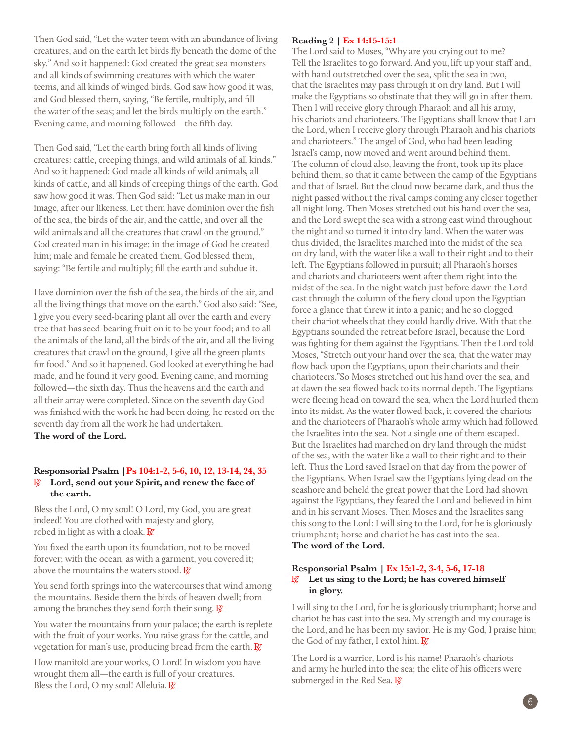Then God said, "Let the water teem with an abundance of living creatures, and on the earth let birds fly beneath the dome of the sky." And so it happened: God created the great sea monsters and all kinds of swimming creatures with which the water teems, and all kinds of winged birds. God saw how good it was, and God blessed them, saying, "Be fertile, multiply, and fill the water of the seas; and let the birds multiply on the earth." Evening came, and morning followed—the fifth day.

Then God said, "Let the earth bring forth all kinds of living creatures: cattle, creeping things, and wild animals of all kinds." And so it happened: God made all kinds of wild animals, all kinds of cattle, and all kinds of creeping things of the earth. God saw how good it was. Then God said: "Let us make man in our image, after our likeness. Let them have dominion over the fish of the sea, the birds of the air, and the cattle, and over all the wild animals and all the creatures that crawl on the ground." God created man in his image; in the image of God he created him; male and female he created them. God blessed them, saying: "Be fertile and multiply; fill the earth and subdue it.

Have dominion over the fish of the sea, the birds of the air, and all the living things that move on the earth." God also said: "See, I give you every seed-bearing plant all over the earth and every tree that has seed-bearing fruit on it to be your food; and to all the animals of the land, all the birds of the air, and all the living creatures that crawl on the ground, I give all the green plants for food." And so it happened. God looked at everything he had made, and he found it very good. Evening came, and morning followed—the sixth day. Thus the heavens and the earth and all their array were completed. Since on the seventh day God was finished with the work he had been doing, he rested on the seventh day from all the work he had undertaken. **The word of the Lord.**

#### **Responsorial Psalm |Ps 104:1-2, 5-6, 10, 12, 13-14, 24, 35**

#### R. **Lord, send out your Spirit, and renew the face of the earth.**

Bless the Lord, O my soul! O Lord, my God, you are great indeed! You are clothed with majesty and glory, robed in light as with a cloak.  $\mathbb{R}^7$ 

You fixed the earth upon its foundation, not to be moved forever; with the ocean, as with a garment, you covered it; above the mountains the waters stood. R.

You send forth springs into the watercourses that wind among the mountains. Beside them the birds of heaven dwell; from among the branches they send forth their song.  $\mathbb{R}^n$ 

You water the mountains from your palace; the earth is replete with the fruit of your works. You raise grass for the cattle, and vegetation for man's use, producing bread from the earth. R.

How manifold are your works, O Lord! In wisdom you have wrought them all—the earth is full of your creatures. Bless the Lord, O my soul! Alleluia. R.

#### **Reading 2 | Ex 14:15-15:1**

The Lord said to Moses, "Why are you crying out to me? Tell the Israelites to go forward. And you, lift up your staff and, with hand outstretched over the sea, split the sea in two, that the Israelites may pass through it on dry land. But I will make the Egyptians so obstinate that they will go in after them. Then I will receive glory through Pharaoh and all his army, his chariots and charioteers. The Egyptians shall know that I am the Lord, when I receive glory through Pharaoh and his chariots and charioteers." The angel of God, who had been leading Israel's camp, now moved and went around behind them. The column of cloud also, leaving the front, took up its place behind them, so that it came between the camp of the Egyptians and that of Israel. But the cloud now became dark, and thus the night passed without the rival camps coming any closer together all night long. Then Moses stretched out his hand over the sea, and the Lord swept the sea with a strong east wind throughout the night and so turned it into dry land. When the water was thus divided, the Israelites marched into the midst of the sea on dry land, with the water like a wall to their right and to their left. The Egyptians followed in pursuit; all Pharaoh's horses and chariots and charioteers went after them right into the midst of the sea. In the night watch just before dawn the Lord cast through the column of the fiery cloud upon the Egyptian force a glance that threw it into a panic; and he so clogged their chariot wheels that they could hardly drive. With that the Egyptians sounded the retreat before Israel, because the Lord was fighting for them against the Egyptians. Then the Lord told Moses, "Stretch out your hand over the sea, that the water may flow back upon the Egyptians, upon their chariots and their charioteers."So Moses stretched out his hand over the sea, and at dawn the sea flowed back to its normal depth. The Egyptians were fleeing head on toward the sea, when the Lord hurled them into its midst. As the water flowed back, it covered the chariots and the charioteers of Pharaoh's whole army which had followed the Israelites into the sea. Not a single one of them escaped. But the Israelites had marched on dry land through the midst of the sea, with the water like a wall to their right and to their left. Thus the Lord saved Israel on that day from the power of the Egyptians. When Israel saw the Egyptians lying dead on the seashore and beheld the great power that the Lord had shown against the Egyptians, they feared the Lord and believed in him and in his servant Moses. Then Moses and the Israelites sang this song to the Lord: I will sing to the Lord, for he is gloriously triumphant; horse and chariot he has cast into the sea. **The word of the Lord.**

#### **Responsorial Psalm | Ex 15:1-2, 3-4, 5-6, 17-18**  $\mathbb{R}^r$  Let us sing to the Lord; he has covered himself **in glory.**

I will sing to the Lord, for he is gloriously triumphant; horse and chariot he has cast into the sea. My strength and my courage is the Lord, and he has been my savior. He is my God, I praise him; the God of my father, I extol him.  $\mathbb{R}^7$ 

The Lord is a warrior, Lord is his name! Pharaoh's chariots and army he hurled into the sea; the elite of his officers were submerged in the Red Sea. R.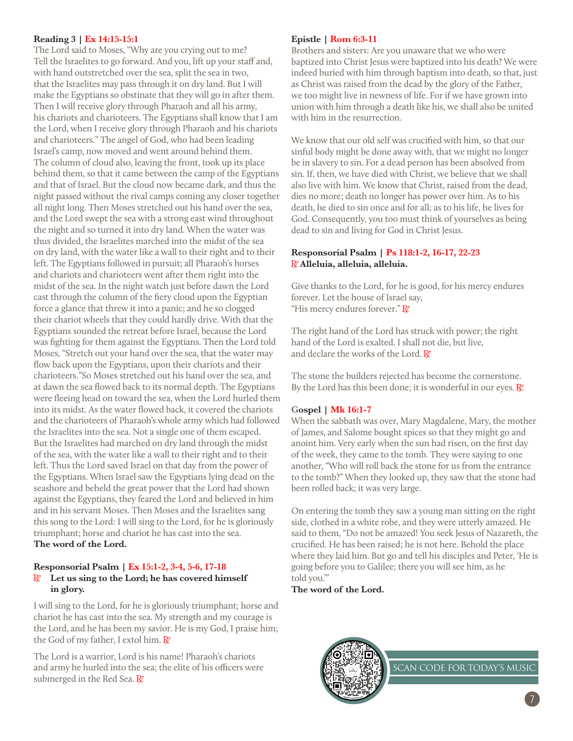#### **Reading 3 | Ex 14:15-15:1**

The Lord said to Moses, "Why are you crying out to me? Tell the Israelites to go forward. And you, lift up your staff and, with hand outstretched over the sea, split the sea in two, that the Israelites may pass through it on dry land. But I will make the Egyptians so obstinate that they will go in after them. Then I will receive glory through Pharaoh and all his army, his chariots and charioteers. The Egyptians shall know that I am the Lord, when I receive glory through Pharaoh and his chariots and charioteers." The angel of God, who had been leading Israel's camp, now moved and went around behind them. The column of cloud also, leaving the front, took up its place behind them, so that it came between the camp of the Egyptians and that of Israel. But the cloud now became dark, and thus the night passed without the rival camps coming any closer together all night long. Then Moses stretched out his hand over the sea, and the Lord swept the sea with a strong east wind throughout the night and so turned it into dry land. When the water was thus divided, the Israelites marched into the midst of the sea on dry land, with the water like a wall to their right and to their left. The Egyptians followed in pursuit; all Pharaoh's horses and chariots and charioteers went after them right into the midst of the sea. In the night watch just before dawn the Lord cast through the column of the fiery cloud upon the Egyptian force a glance that threw it into a panic; and he so clogged their chariot wheels that they could hardly drive. With that the Egyptians sounded the retreat before Israel, because the Lord was fighting for them against the Egyptians. Then the Lord told Moses, "Stretch out your hand over the sea, that the water may flow back upon the Egyptians, upon their chariots and their charioteers."So Moses stretched out his hand over the sea, and at dawn the sea flowed back to its normal depth. The Egyptians were fleeing head on toward the sea, when the Lord hurled them into its midst. As the water flowed back, it covered the chariots and the charioteers of Pharaoh's whole army which had followed the Israelites into the sea. Not a single one of them escaped. But the Israelites had marched on dry land through the midst of the sea, with the water like a wall to their right and to their left. Thus the Lord saved Israel on that day from the power of the Egyptians. When Israel saw the Egyptians lying dead on the seashore and beheld the great power that the Lord had shown against the Egyptians, they feared the Lord and believed in him and in his servant Moses. Then Moses and the Israelites sang this song to the Lord: I will sing to the Lord, for he is gloriously triumphant; horse and chariot he has cast into the sea. **The word of the Lord.**

#### **Responsorial Psalm | Ex 15:1-2, 3-4, 5-6, 17-18**  $\mathbb{R}$ . Let us sing to the Lord; he has covered himself **in glory.**

I will sing to the Lord, for he is gloriously triumphant; horse and chariot he has cast into the sea. My strength and my courage is the Lord, and he has been my savior. He is my God, I praise him; the God of my father, I extol him. R.

The Lord is a warrior, Lord is his name! Pharaoh's chariots and army he hurled into the sea; the elite of his officers were submerged in the Red Sea. R.

#### **Epistle | Rom 6:3-11**

Brothers and sisters: Are you unaware that we who were baptized into Christ Jesus were baptized into his death? We were indeed buried with him through baptism into death, so that, just as Christ was raised from the dead by the glory of the Father, we too might live in newness of life. For if we have grown into union with him through a death like his, we shall also be united with him in the resurrection.

We know that our old self was crucified with him, so that our sinful body might be done away with, that we might no longer be in slavery to sin. For a dead person has been absolved from sin. If, then, we have died with Christ, we believe that we shall also live with him. We know that Christ, raised from the dead, dies no more; death no longer has power over him. As to his death, he died to sin once and for all; as to his life, he lives for God. Consequently, you too must think of yourselves as being dead to sin and living for God in Christ Jesus.

#### **Responsorial Psalm | Ps 118:1-2, 16-17, 22-23** R. **Alleluia, alleluia, alleluia.**

Give thanks to the Lord, for he is good, for his mercy endures forever. Let the house of Israel say, "His mercy endures forever." R

The right hand of the Lord has struck with power; the right hand of the Lord is exalted. I shall not die, but live, and declare the works of the Lord. R.

The stone the builders rejected has become the cornerstone. By the Lord has this been done; it is wonderful in our eyes.  $\mathbb{R}^n$ .

#### **Gospel | Mk 16:1-7**

When the sabbath was over, Mary Magdalene, Mary, the mother of James, and Salome bought spices so that they might go and anoint him. Very early when the sun had risen, on the first day of the week, they came to the tomb. They were saying to one another, "Who will roll back the stone for us from the entrance to the tomb?" When they looked up, they saw that the stone had been rolled back; it was very large.

On entering the tomb they saw a young man sitting on the right side, clothed in a white robe, and they were utterly amazed. He said to them, "Do not be amazed! You seek Jesus of Nazareth, the crucified. He has been raised; he is not here. Behold the place where they laid him. But go and tell his disciples and Peter, 'He is going before you to Galilee; there you will see him, as he told you.'"

**The word of the Lord.**

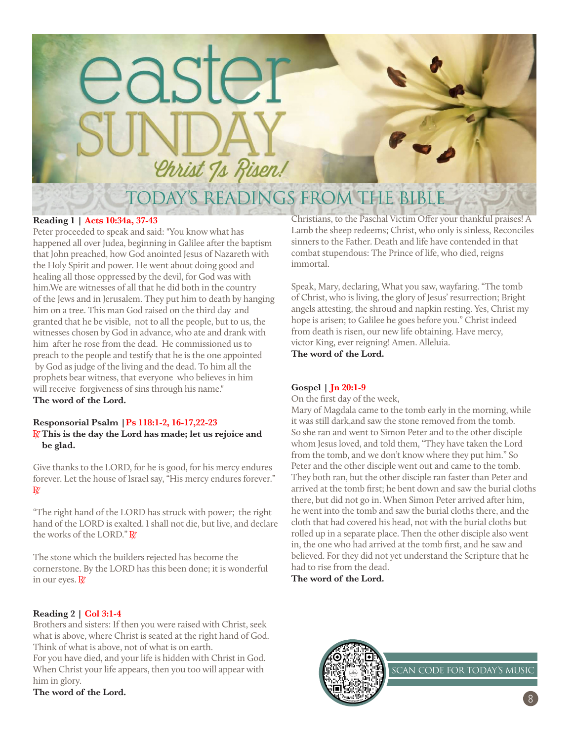## TODAY'S READINGS FROM THE BI

#### **Reading 1 | Acts 10:34a, 37-43**

Peter proceeded to speak and said: "You know what has happened all over Judea, beginning in Galilee after the baptism that John preached, how God anointed Jesus of Nazareth with the Holy Spirit and power. He went about doing good and healing all those oppressed by the devil, for God was with him.We are witnesses of all that he did both in the country of the Jews and in Jerusalem. They put him to death by hanging him on a tree. This man God raised on the third day and granted that he be visible, not to all the people, but to us, the witnesses chosen by God in advance, who ate and drank with him after he rose from the dead. He commissioned us to preach to the people and testify that he is the one appointed by God as judge of the living and the dead. To him all the prophets bear witness, that everyone who believes in him will receive forgiveness of sins through his name." **The word of the Lord.**

easter

Christ Js Risen!

#### **Responsorial Psalm |Ps 118:1-2, 16-17,22-23** R. **This is the day the Lord has made; let us rejoice and be glad.**

Give thanks to the LORD, for he is good, for his mercy endures forever. Let the house of Israel say, "His mercy endures forever." R.

"The right hand of the LORD has struck with power; the right hand of the LORD is exalted. I shall not die, but live, and declare the works of the LORD." R.

The stone which the builders rejected has become the cornerstone. By the LORD has this been done; it is wonderful in our eyes.  $\mathbb{R}^7$ 

#### **Reading 2 | Col 3:1-4**

Brothers and sisters: If then you were raised with Christ, seek what is above, where Christ is seated at the right hand of God. Think of what is above, not of what is on earth.

When Christ your life appears, then you too will appear with **ENDEMAN ARE AN** SCAN CODE FOR TODAY'S MUSIC For you have died, and your life is hidden with Christ in God. him in glory.

**The word of the Lord.** 

Christians, to the Paschal Victim Offer your thankful praises! A Lamb the sheep redeems; Christ, who only is sinless, Reconciles sinners to the Father. Death and life have contended in that combat stupendous: The Prince of life, who died, reigns immortal.

Speak, Mary, declaring, What you saw, wayfaring. "The tomb of Christ, who is living, the glory of Jesus' resurrection; Bright angels attesting, the shroud and napkin resting. Yes, Christ my hope is arisen; to Galilee he goes before you." Christ indeed from death is risen, our new life obtaining. Have mercy, victor King, ever reigning! Amen. Alleluia. **The word of the Lord.**

#### **Gospel | Jn 20:1-9**

#### On the first day of the week,

Mary of Magdala came to the tomb early in the morning, while it was still dark,and saw the stone removed from the tomb. So she ran and went to Simon Peter and to the other disciple whom Jesus loved, and told them, "They have taken the Lord from the tomb, and we don't know where they put him." So Peter and the other disciple went out and came to the tomb. They both ran, but the other disciple ran faster than Peter and arrived at the tomb first; he bent down and saw the burial cloths there, but did not go in. When Simon Peter arrived after him, he went into the tomb and saw the burial cloths there, and the cloth that had covered his head, not with the burial cloths but rolled up in a separate place. Then the other disciple also went in, the one who had arrived at the tomb first, and he saw and believed. For they did not yet understand the Scripture that he had to rise from the dead.

**The word of the Lord.**

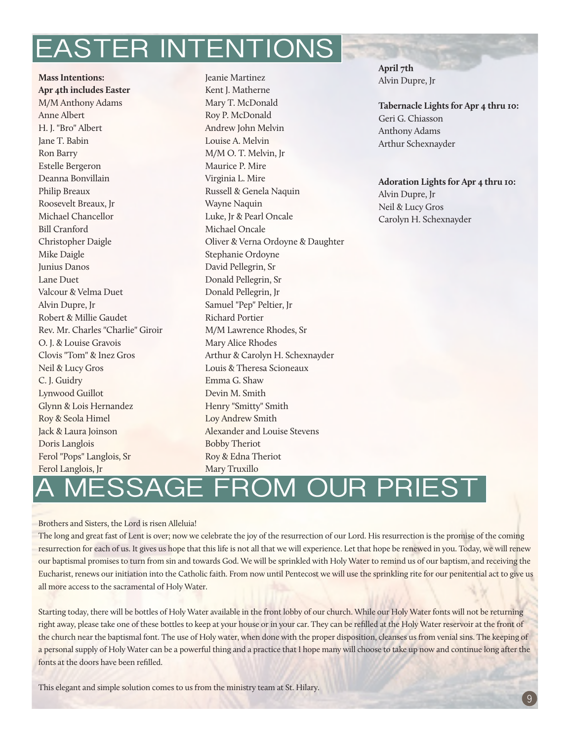# ASTER INTENTIONS

**Mass Intentions: Apr 4th includes Easter** M/M Anthony Adams Anne Albert H. J. "Bro" Albert Jane T. Babin Ron Barry Estelle Bergeron Deanna Bonvillain Philip Breaux Roosevelt Breaux, Jr Michael Chancellor Bill Cranford Christopher Daigle Mike Daigle Junius Danos Lane Duet Valcour & Velma Duet Alvin Dupre, Jr Robert & Millie Gaudet Rev. Mr. Charles "Charlie" Giroir O. J. & Louise Gravois Clovis "Tom" & Inez Gros Neil & Lucy Gros C. J. Guidry Lynwood Guillot Glynn & Lois Hernandez Roy & Seola Himel Jack & Laura Joinson Doris Langlois Ferol "Pops" Langlois, Sr Ferol Langlois, Jr

Jeanie Martinez Kent J. Matherne Mary T. McDonald Roy P. McDonald Andrew John Melvin Louise A. Melvin M/M O. T. Melvin, Jr Maurice P. Mire Virginia L. Mire Russell & Genela Naquin Wayne Naquin Luke, Jr & Pearl Oncale Michael Oncale Oliver & Verna Ordoyne & Daughter Stephanie Ordoyne David Pellegrin, Sr Donald Pellegrin, Sr Donald Pellegrin, Jr Samuel "Pep" Peltier, Jr Richard Portier M/M Lawrence Rhodes, Sr Mary Alice Rhodes Arthur & Carolyn H. Schexnayder Louis & Theresa Scioneaux Emma G. Shaw Devin M. Smith Henry "Smitty" Smith Loy Andrew Smith Alexander and Louise Stevens Bobby Theriot Roy & Edna Theriot Mary Truxillo

**April 7th** Alvin Dupre, Jr

**Tabernacle Lights for Apr 4 thru 10:** Geri G. Chiasson Anthony Adams Arthur Schexnayder

#### **Adoration Lights for Apr 4 thru 10:**

Alvin Dupre, Jr Neil & Lucy Gros Carolyn H. Schexnayder

## **GE FROM OUR PRIEST**

Brothers and Sisters, the Lord is risen Alleluia!

The long and great fast of Lent is over; now we celebrate the joy of the resurrection of our Lord. His resurrection is the promise of the coming resurrection for each of us. It gives us hope that this life is not all that we will experience. Let that hope be renewed in you. Today, we will renew our baptismal promises to turn from sin and towards God. We will be sprinkled with Holy Water to remind us of our baptism, and receiving the Eucharist, renews our initiation into the Catholic faith. From now until Pentecost we will use the sprinkling rite for our penitential act to give us all more access to the sacramental of Holy Water.

Starting today, there will be bottles of Holy Water available in the front lobby of our church. While our Holy Water fonts will not be returning right away, please take one of these bottles to keep at your house or in your car. They can be refilled at the Holy Water reservoir at the front of the church near the baptismal font. The use of Holy water, when done with the proper disposition, cleanses us from venial sins. The keeping of a personal supply of Holy Water can be a powerful thing and a practice that I hope many will choose to take up now and continue long after the fonts at the doors have been refilled.

This elegant and simple solution comes to us from the ministry team at St. Hilary.